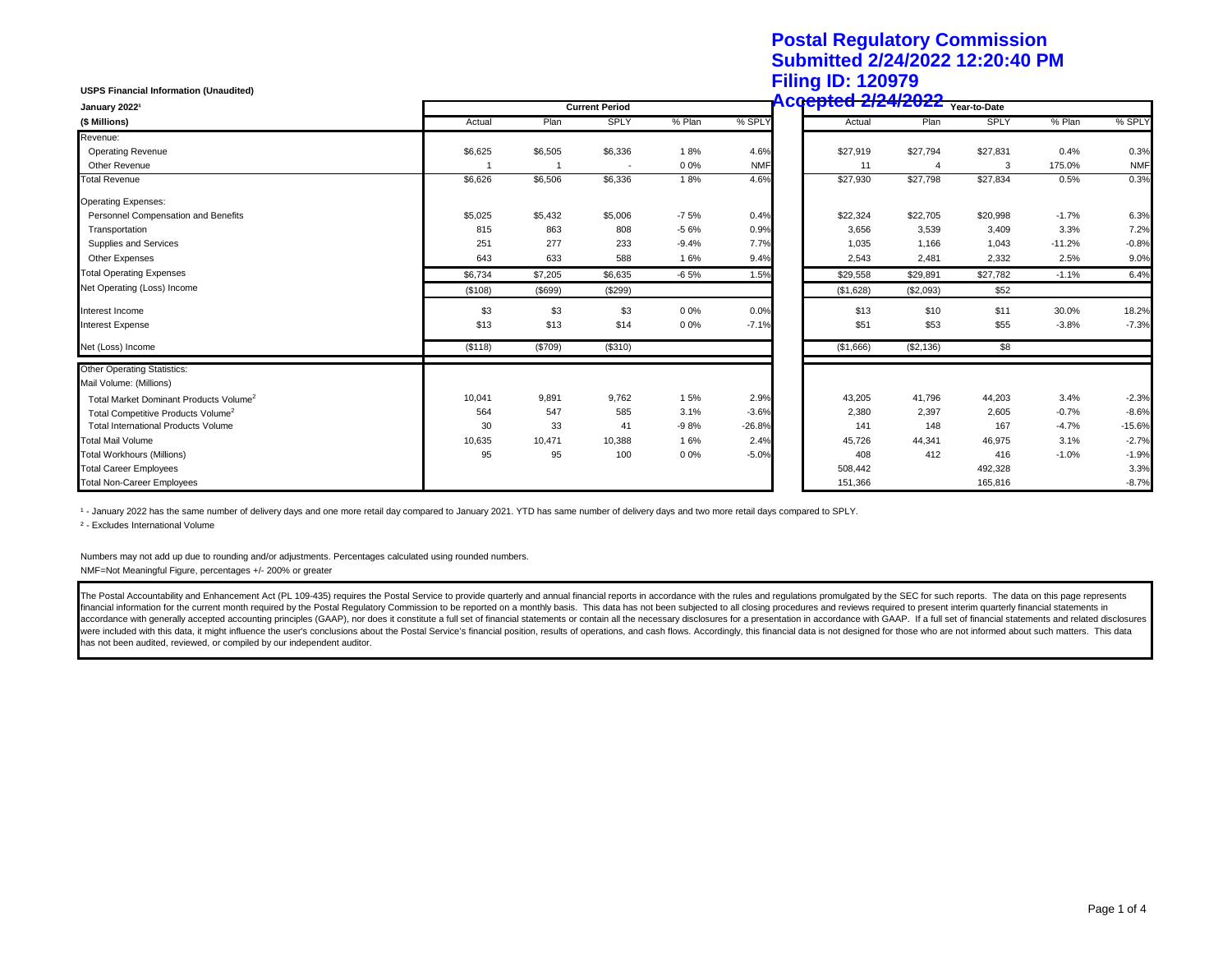## **Postal Regulatory Commission Submitted 2/24/2022 12:20:40 PM Filing ID: 120979**

| <b>USPS Financial Information (Unaudited)</b>      |         |         |                       |         |            | 1 mng 1D. 14001 J                      |           |          |          |            |
|----------------------------------------------------|---------|---------|-----------------------|---------|------------|----------------------------------------|-----------|----------|----------|------------|
| January 20221                                      |         |         | <b>Current Period</b> |         |            | <b>Accepted 2/24/2022</b> Year-to-Date |           |          |          |            |
| (\$ Millions)                                      | Actual  | Plan    | <b>SPLY</b>           | % Plan  | % SPLY     | Actual                                 | Plan      | SPLY     | % Plan   | % SPLY     |
| Revenue:                                           |         |         |                       |         |            |                                        |           |          |          |            |
| <b>Operating Revenue</b>                           | \$6,625 | \$6,505 | \$6,336               | 18%     | 4.6%       | \$27,919                               | \$27,794  | \$27,831 | 0.4%     | 0.3%       |
| Other Revenue                                      |         |         |                       | 0 0%    | <b>NMF</b> | 11                                     | 4         | 3        | 175.0%   | <b>NMF</b> |
| <b>Total Revenue</b>                               | \$6,626 | \$6,506 | \$6,336               | 18%     | 4.6%       | \$27,930                               | \$27,798  | \$27,834 | 0.5%     | 0.3%       |
| <b>Operating Expenses:</b>                         |         |         |                       |         |            |                                        |           |          |          |            |
| Personnel Compensation and Benefits                | \$5,025 | \$5,432 | \$5,006               | $-7.5%$ | 0.4%       | \$22,324                               | \$22,705  | \$20,998 | $-1.7%$  | 6.3%       |
| Transportation                                     | 815     | 863     | 808                   | $-56%$  | 0.9%       | 3,656                                  | 3,539     | 3,409    | 3.3%     | 7.2%       |
| Supplies and Services                              | 251     | 277     | 233                   | $-9.4%$ | 7.7%       | 1,035                                  | 1,166     | 1,043    | $-11.2%$ | $-0.8%$    |
| Other Expenses                                     | 643     | 633     | 588                   | 16%     | 9.4%       | 2,543                                  | 2,481     | 2,332    | 2.5%     | 9.0%       |
| <b>Total Operating Expenses</b>                    | \$6,734 | \$7,205 | \$6,635               | $-6.5%$ | 1.5%       | \$29,558                               | \$29,891  | \$27,782 | $-1.1%$  | 6.4%       |
| Net Operating (Loss) Income                        | (\$108) | (\$699) | (\$299)               |         |            | (\$1,628)                              | (\$2,093) | \$52     |          |            |
| Interest Income                                    | \$3     | \$3     | \$3                   | 0 0%    | 0.0%       | \$13                                   | \$10      | \$11     | 30.0%    | 18.2%      |
| <b>Interest Expense</b>                            | \$13    | \$13    | \$14                  | 0 0%    | $-7.1%$    | \$51                                   | \$53      | \$55     | $-3.8%$  | $-7.3%$    |
| Net (Loss) Income                                  | (\$118) | (\$709) | (\$310)               |         |            | (\$1,666)                              | (\$2,136) | \$8      |          |            |
| <b>Other Operating Statistics:</b>                 |         |         |                       |         |            |                                        |           |          |          |            |
| Mail Volume: (Millions)                            |         |         |                       |         |            |                                        |           |          |          |            |
| Total Market Dominant Products Volume <sup>2</sup> | 10,041  | 9,891   | 9,762                 | 15%     | 2.9%       | 43,205                                 | 41,796    | 44,203   | 3.4%     | $-2.3%$    |
| Total Competitive Products Volume <sup>2</sup>     | 564     | 547     | 585                   | 3.1%    | $-3.6%$    | 2,380                                  | 2,397     | 2,605    | $-0.7%$  | $-8.6%$    |
| <b>Total International Products Volume</b>         | 30      | 33      | 41                    | $-98%$  | $-26.8%$   | 141                                    | 148       | 167      | $-4.7%$  | $-15.6%$   |
| <b>Total Mail Volume</b>                           | 10,635  | 10,471  | 10,388                | 16%     | 2.4%       | 45,726                                 | 44,341    | 46,975   | 3.1%     | $-2.7%$    |
| <b>Total Workhours (Millions)</b>                  | 95      | 95      | 100                   | 0 0%    | $-5.0%$    | 408                                    | 412       | 416      | $-1.0%$  | $-1.9%$    |
| <b>Total Career Employees</b>                      |         |         |                       |         |            | 508,442                                |           | 492,328  |          | 3.3%       |
| <b>Total Non-Career Employees</b>                  |         |         |                       |         |            | 151,366                                |           | 165,816  |          | $-8.7%$    |

1 - January 2022 has the same number of delivery days and one more retail day compared to January 2021. YTD has same number of delivery days and two more retail days compared to SPLY.

² - Excludes International Volume

Numbers may not add up due to rounding and/or adjustments. Percentages calculated using rounded numbers. NMF=Not Meaningful Figure, percentages +/- 200% or greater

The Postal Accountability and Enhancement Act (PL 109-435) requires the Postal Service to provide quarterly and annual financial reports in accordance with the rules and regulations promulgated by the SEC for such reports. financial information for the current month required by the Postal Regulatory Commission to be reported on a monthly basis. This data has not been subjected to all closing procedures and reviews required to present interim accordance with generally accepted accounting principles (GAAP), nor does it constitute a full set of financial statements or contain all the necessary disclosures for a presentation in accordance with GAAP. If a full set were included with this data, it might influence the user's conclusions about the Postal Service's financial position, results of operations, and cash flows. Accordingly, this financial data is not designed for those who a has not been audited, reviewed, or compiled by our independent auditor.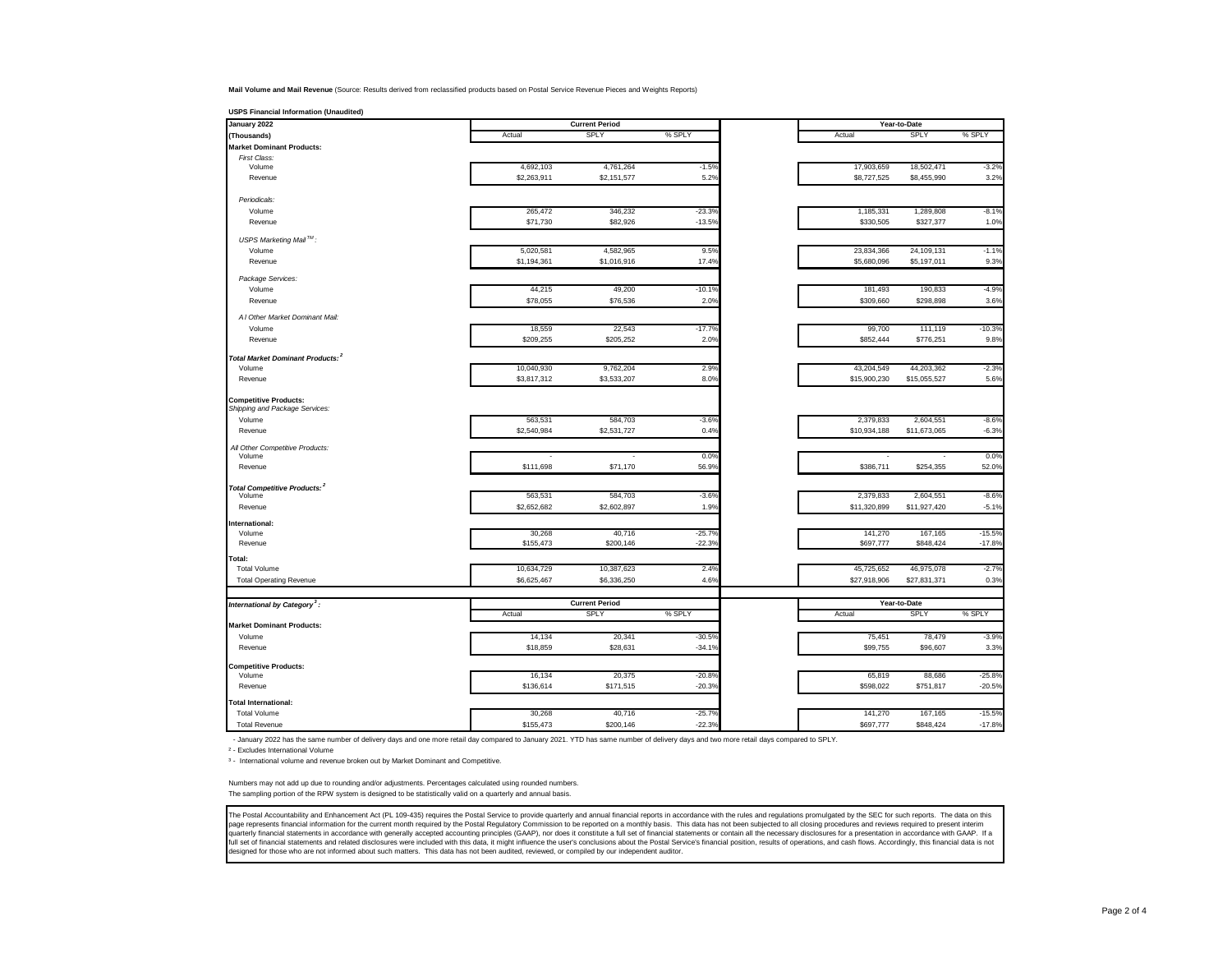**Mail Volume and Mail Revenue** (Source: Results derived from reclassified products based on Postal Service Revenue Pieces and Weights Reports)

| January 2022                                 |             | <b>Current Period</b> |          |              | Year-to-Date |          |
|----------------------------------------------|-------------|-----------------------|----------|--------------|--------------|----------|
| (Thousands)                                  | Actual      | SPLY                  | % SPLY   | Actual       | <b>SPLY</b>  | % SPLY   |
| <b>Market Dominant Products:</b>             |             |                       |          |              |              |          |
| First Class:<br>Volume                       | 4,692,103   | 4,761,264             | $-1.5%$  | 17,903,659   | 18,502,471   | $-3.2%$  |
| Revenue                                      | \$2,263,911 | \$2,151,577           | 5.2%     | \$8,727,525  | \$8,455,990  | 3.2%     |
|                                              |             |                       |          |              |              |          |
| Periodicals:                                 |             |                       |          |              |              |          |
| Volume                                       | 265,472     | 346,232               | $-23.3%$ | 1,185,331    | 1,289,808    | $-8.1%$  |
| Revenue                                      | \$71,730    | \$82,926              | $-13.5%$ | \$330,505    | \$327,377    | 1.0%     |
| USPS Marketing Mail™:                        |             |                       |          |              |              |          |
| Volume                                       | 5,020,581   | 4,582,965             | 9.5%     | 23,834,366   | 24,109,131   | $-1.1%$  |
| Revenue                                      | \$1,194,361 | \$1,016,916           | 17.4%    | \$5,680,096  | \$5,197,011  | 9.3%     |
| Package Services:                            |             |                       |          |              |              |          |
| Volume                                       | 44,215      | 49,200                | $-10.1%$ | 181,493      | 190,833      | $-4.9%$  |
| Revenue                                      | \$78,055    | \$76,536              | 2.0%     | \$309,660    | \$298,898    | 3.6%     |
| A I Other Market Dominant Mail:              |             |                       |          |              |              |          |
| Volume                                       | 18,559      | 22,543                | $-17.7%$ | 99,700       | 111,119      | $-10.3%$ |
| Revenue                                      | \$209,255   | \$205,252             | 2.0%     | \$852,444    | \$776,251    | 9.8%     |
| Total Market Dominant Products: <sup>2</sup> |             |                       |          |              |              |          |
| Volume                                       | 10,040,930  | 9,762,204             | 2.9%     | 43,204,549   | 44,203,362   | $-2.3%$  |
| Revenue                                      | \$3,817,312 | \$3,533,207           | 8.0%     | \$15,900,230 | \$15,055,527 | 5.6%     |
| <b>Competitive Products:</b>                 |             |                       |          |              |              |          |
| Shipping and Package Services:               |             |                       |          |              |              |          |
| Volume                                       | 563,531     | 584,703               | $-3.6%$  | 2,379,833    | 2,604,551    | $-8.6%$  |
| Revenue                                      | \$2,540,984 | \$2,531,727           | 0.4%     | \$10,934,188 | \$11,673,065 | $-6.3%$  |
| All Other Competitive Products:              |             |                       |          |              |              |          |
| Volume                                       |             |                       | 0.0%     |              |              | 0.0%     |
| Revenue                                      | \$111,698   | \$71,170              | 56.9%    | \$386,711    | \$254,355    | 52.0%    |
| Total Competitive Products: <sup>2</sup>     |             |                       |          |              |              |          |
| Volume                                       | 563,531     | 584,703               | $-3.6%$  | 2,379,833    | 2,604,551    | $-8.6%$  |
| Revenue                                      | \$2,652,682 | \$2,602,897           | 1.9%     | \$11,320,899 | \$11,927,420 | $-5.1%$  |
| International:<br>Volume                     | 30,268      | 40,716                | $-25.7%$ | 141,270      | 167,165      | $-15.5%$ |
| Revenue                                      | \$155,473   | \$200,146             | $-22.3%$ | \$697,777    | \$848,424    | $-17.8%$ |
| Total:                                       |             |                       |          |              |              |          |
| <b>Total Volume</b>                          | 10,634,729  | 10,387,623            | 2.4%     | 45,725,652   | 46,975,078   | $-2.7%$  |
| <b>Total Operating Revenue</b>               | \$6,625,467 | \$6,336,250           | 4.6%     | \$27,918,906 | \$27,831,371 | 0.3%     |
|                                              |             |                       |          |              |              |          |
| International by Category <sup>3</sup> :     |             | <b>Current Period</b> |          |              | Year-to-Date |          |
|                                              | Actual      | <b>SPLY</b>           | % SPLY   | Actual       | SPLY         | % SPLY   |
| <b>Market Dominant Products:</b>             |             |                       |          |              |              |          |
| Volume                                       | 14,134      | 20,341                | $-30.5%$ | 75,451       | 78,479       | $-3.9%$  |
| Revenue                                      | \$18,859    | \$28,631              | $-34.19$ | \$99,755     | \$96,607     | 3.3%     |
| <b>Competitive Products:</b>                 |             |                       |          |              |              |          |
| Volume                                       | 16,134      | 20,375                | $-20.89$ | 65,819       | 88,686       | $-25.8%$ |
| Revenue                                      | \$136,614   | \$171,515             | $-20.39$ | \$598,022    | \$751,817    | $-20.5%$ |
| <b>Total International:</b>                  |             |                       |          |              |              |          |
| <b>Total Volume</b>                          | 30,268      | 40,716                | $-25.7%$ | 141,270      | 167,165      | $-15.5%$ |
| <b>Total Revenue</b>                         | \$155,473   | \$200,146             | $-22.3%$ | \$697,777    | \$848,424    | $-17.8%$ |

- January 2022 has the same number of delivery days and one more retail day compared to January 2021. YTD has same number of delivery days and two more retail days compared to SPLY.

² - Excludes International Volume

<sup>3</sup> - International volume and revenue broken out by Market Dominant and Competitive.

Numbers may not add up due to rounding and/or adjustments. Percentages calculated using rounded numbers. The sampling portion of the RPW system is designed to be statistically valid on a quarterly and annual basis.

The Postal Accountability and Enhancement Act (PL 109-435) requires the Postal Service to provide quarterly and annual financial reports in accordance with the rules and regulations promulgated by the SEC for such reports. page represents financial information for the current month required by the Postal Regulatory Commission to be reported on a monthly basis. This data has not been subjected to all closing procedures and reviews required to designed for those who are not informed about such matters. This data has not been audited, reviewed, or compiled by our independent auditor.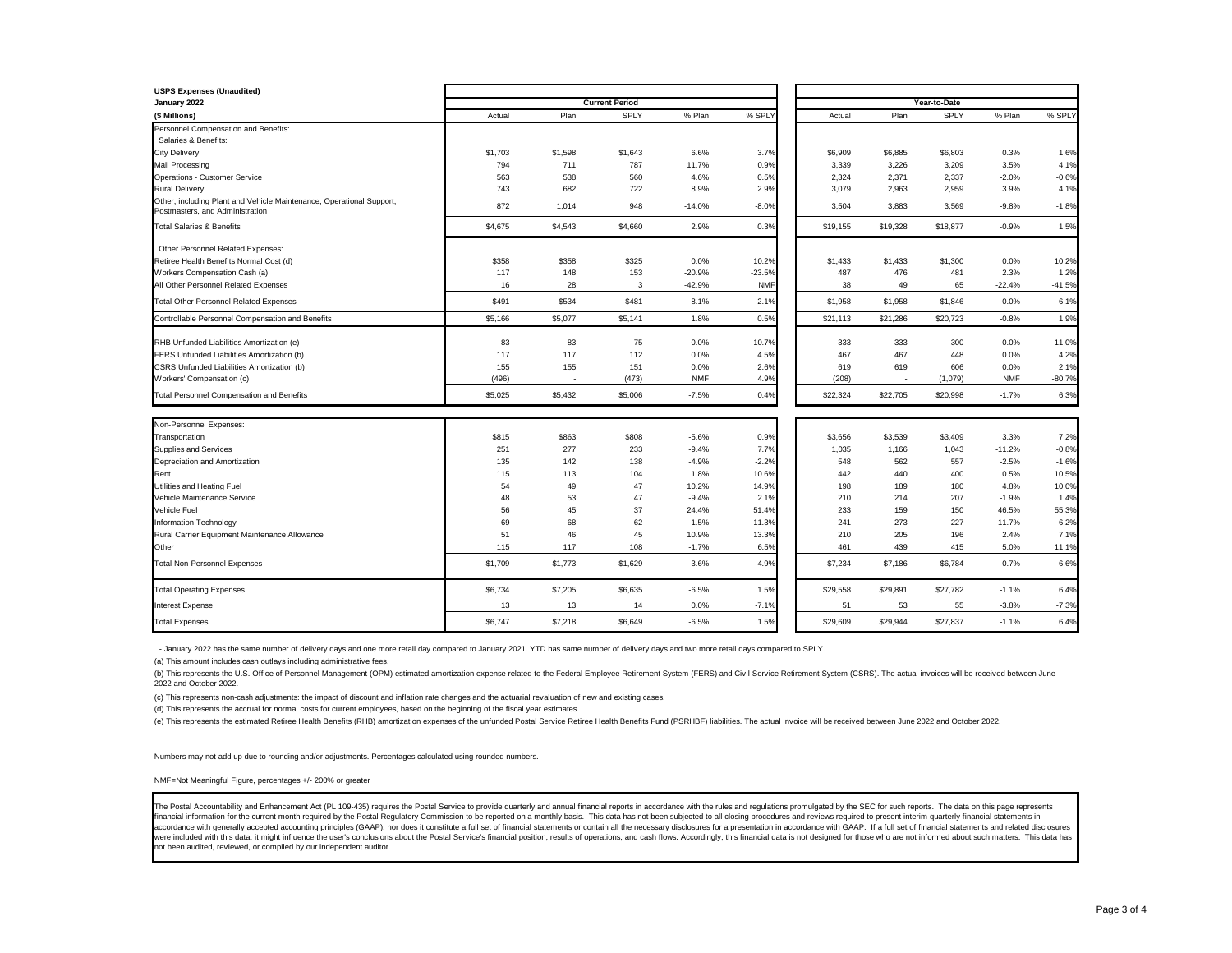| <b>USPS Expenses (Unaudited)</b>                                                                        |         |                          |                       |                    |            |                  |                          |                  |                  |          |
|---------------------------------------------------------------------------------------------------------|---------|--------------------------|-----------------------|--------------------|------------|------------------|--------------------------|------------------|------------------|----------|
| January 2022                                                                                            |         |                          | <b>Current Period</b> |                    |            |                  |                          | Year-to-Date     |                  |          |
| (\$ Millions)                                                                                           | Actual  | Plan                     | SPLY                  | % Plan             | % SPLY     | Actual           | Plan                     | SPLY             | % Plan           | % SPLY   |
| Personnel Compensation and Benefits:                                                                    |         |                          |                       |                    |            |                  |                          |                  |                  |          |
| Salaries & Benefits:                                                                                    |         |                          |                       |                    |            |                  |                          |                  |                  |          |
| <b>City Delivery</b>                                                                                    | \$1,703 | \$1,598                  | \$1,643               | 6.6%               | 3.7%       | \$6,909          | \$6,885                  | \$6,803          | 0.3%             | 1.6%     |
| Mail Processing                                                                                         | 794     | 711                      | 787                   | 11.7%              | 0.9%       | 3,339            | 3,226                    | 3,209            | 3.5%             | 4.1%     |
| Operations - Customer Service                                                                           | 563     | 538                      | 560                   | 4.6%               | 0.5%       | 2,324            | 2,371                    | 2,337            | $-2.0%$          | $-0.6%$  |
| <b>Rural Delivery</b>                                                                                   | 743     | 682                      | 722                   | 8.9%               | 2.9%       | 3,079            | 2,963                    | 2,959            | 3.9%             | 4.1%     |
| Other, including Plant and Vehicle Maintenance, Operational Support,<br>Postmasters, and Administration | 872     | 1.014                    | 948                   | $-14.0%$           | $-8.0%$    | 3,504            | 3,883                    | 3,569            | $-9.8%$          | $-1.8%$  |
| <b>Total Salaries &amp; Benefits</b>                                                                    | \$4,675 | \$4,543                  | \$4,660               | 2.9%               | 0.3%       | \$19,155         | \$19,328                 | \$18,877         | $-0.9%$          | 1.5%     |
| Other Personnel Related Expenses:                                                                       |         |                          |                       |                    |            |                  |                          |                  |                  |          |
| Retiree Health Benefits Normal Cost (d)                                                                 | \$358   | \$358                    | \$325                 | 0.0%               | 10.2%      | \$1,433          | \$1,433                  | \$1,300          | 0.0%             | 10.2%    |
| Workers Compensation Cash (a)                                                                           | 117     | 148                      | 153                   | $-20.9%$           | $-23.5%$   | 487              | 476                      | 481              | 2.3%             | 1.2%     |
| All Other Personnel Related Expenses                                                                    | 16      | 28                       | 3                     | $-42.9%$           | <b>NMF</b> | 38               | 49                       | 65               | $-22.4%$         | $-41.5%$ |
| <b>Total Other Personnel Related Expenses</b>                                                           | \$491   | \$534                    | \$481                 | $-8.1%$            | 2.1%       | \$1,958          | \$1,958                  | \$1,846          | 0.0%             | 6.1%     |
| Controllable Personnel Compensation and Benefits                                                        | \$5,166 | \$5,077                  | \$5,141               | 1.8%               | 0.5%       | \$21,113         | \$21,286                 | \$20,723         | $-0.8%$          | 1.9%     |
| RHB Unfunded Liabilities Amortization (e)                                                               | 83      | 83                       | 75                    | 0.0%               | 10.7%      | 333              | 333                      | 300              | 0.0%             | 11.0%    |
| FERS Unfunded Liabilities Amortization (b)                                                              | 117     | 117                      | 112                   | 0.0%               | 4.5%       | 467              | 467                      | 448              | 0.0%             | 4.2%     |
| CSRS Unfunded Liabilities Amortization (b)                                                              | 155     | 155                      | 151                   | 0.0%               | 2.6%       | 619              | 619                      | 606              | 0.0%             | 2.1%     |
| Workers' Compensation (c)                                                                               | (496)   | $\overline{\phantom{a}}$ | (473)                 | <b>NMF</b>         | 4.9%       | (208)            | $\overline{\phantom{a}}$ | (1,079)          | <b>NMF</b>       | $-80.7%$ |
| Total Personnel Compensation and Benefits                                                               | \$5,025 | \$5,432                  | \$5,006               | $-7.5%$            | 0.4%       | \$22,324         | \$22,705                 | \$20,998         | $-1.7%$          | 6.3%     |
|                                                                                                         |         |                          |                       |                    |            |                  |                          |                  |                  |          |
| Non-Personnel Expenses:                                                                                 | \$815   | \$863                    | \$808                 |                    | 0.9%       |                  |                          |                  |                  | 7.2%     |
| Transportation<br>Supplies and Services                                                                 | 251     | 277                      | 233                   | $-5.6%$<br>$-9.4%$ | 7.7%       | \$3,656<br>1,035 | \$3,539<br>1,166         | \$3,409<br>1,043 | 3.3%<br>$-11.2%$ | $-0.8%$  |
| Depreciation and Amortization                                                                           | 135     | 142                      | 138                   | $-4.9%$            | $-2.2%$    | 548              | 562                      | 557              | $-2.5%$          | $-1.6%$  |
| Rent                                                                                                    | 115     | 113                      | 104                   | 1.8%               | 10.6%      | 442              | 440                      | 400              | 0.5%             | 10.5%    |
| Utilities and Heating Fuel                                                                              | 54      | 49                       | 47                    | 10.2%              | 14.9%      | 198              | 189                      | 180              | 4.8%             | 10.0%    |
| Vehicle Maintenance Service                                                                             | 48      | 53                       | 47                    | $-9.4%$            | 2.1%       | 210              | 214                      | 207              | $-1.9%$          | 1.4%     |
| Vehicle Fuel                                                                                            | 56      | 45                       | 37                    | 24.4%              | 51.4%      | 233              | 159                      | 150              | 46.5%            | 55.3%    |
| Information Technology                                                                                  | 69      | 68                       | 62                    | 1.5%               | 11.3%      | 241              | 273                      | 227              | $-11.7%$         | 6.2%     |
| Rural Carrier Equipment Maintenance Allowance                                                           | 51      | 46                       | 45                    | 10.9%              | 13.3%      | 210              | 205                      | 196              | 2.4%             | 7.1%     |
| Other                                                                                                   | 115     | 117                      | 108                   | $-1.7%$            | 6.5%       | 461              | 439                      | 415              | 5.0%             | 11.1%    |
| <b>Total Non-Personnel Expenses</b>                                                                     | \$1,709 | \$1,773                  | \$1,629               | $-3.6%$            | 4.9%       | \$7,234          | \$7,186                  | \$6,784          | 0.7%             | 6.6%     |
| <b>Total Operating Expenses</b>                                                                         | \$6,734 | \$7,205                  | \$6,635               | $-6.5%$            | 1.5%       | \$29,558         | \$29,891                 | \$27,782         | $-1.1%$          | 6.4%     |
| <b>Interest Expense</b>                                                                                 | 13      | 13                       | 14                    | 0.0%               | $-7.1%$    | 51               | 53                       | 55               | $-3.8%$          | $-7.3%$  |
| <b>Total Expenses</b>                                                                                   | \$6,747 | \$7,218                  | \$6,649               | $-6.5%$            | 1.5%       | \$29,609         | \$29,944                 | \$27,837         | $-1.1%$          | 6.4%     |

- January 2022 has the same number of delivery days and one more retail day compared to January 2021. YTD has same number of delivery days and two more retail days compared to SPLY.

(a) This amount includes cash outlays including administrative fees.

(b) This represents the U.S. Office of Personnel Management (OPM) estimated amortization expense related to the Federal Employee Retirement System (FERS) and Civil Service Retirement System (CSRS). The actual invoices will 2022 and October 2022.

(c) This represents non-cash adjustments: the impact of discount and inflation rate changes and the actuarial revaluation of new and existing cases.

(d) This represents the accrual for normal costs for current employees, based on the beginning of the fiscal year estimates.

(e) This represents the estimated Retiree Health Benefits (RHB) amortization expenses of the unfunded Postal Service Retiree Health Benefits Fund (PSRHBF) liabilities. The actual invoice will be received between June 2022

Numbers may not add up due to rounding and/or adjustments. Percentages calculated using rounded numbers.

NMF=Not Meaningful Figure, percentages +/- 200% or greater

The Postal Accountability and Enhancement Act (PL 109-435) requires the Postal Service to provide quarterly and annual financial reports in accordance with the rules and regulations promulgated by the SEC for such reports. financial information for the current month required by the Postal Regulatory Commission to be reported on a monthly basis. This data has not been subjected to all closing procedures and reviews required to present interim were included with this data, it might influence the user's conclusions about the Postal Service's financial position, results of operations, and cash flows. Accordingly, this financial data is not designed for those who a not been audited, reviewed, or compiled by our independent auditor.